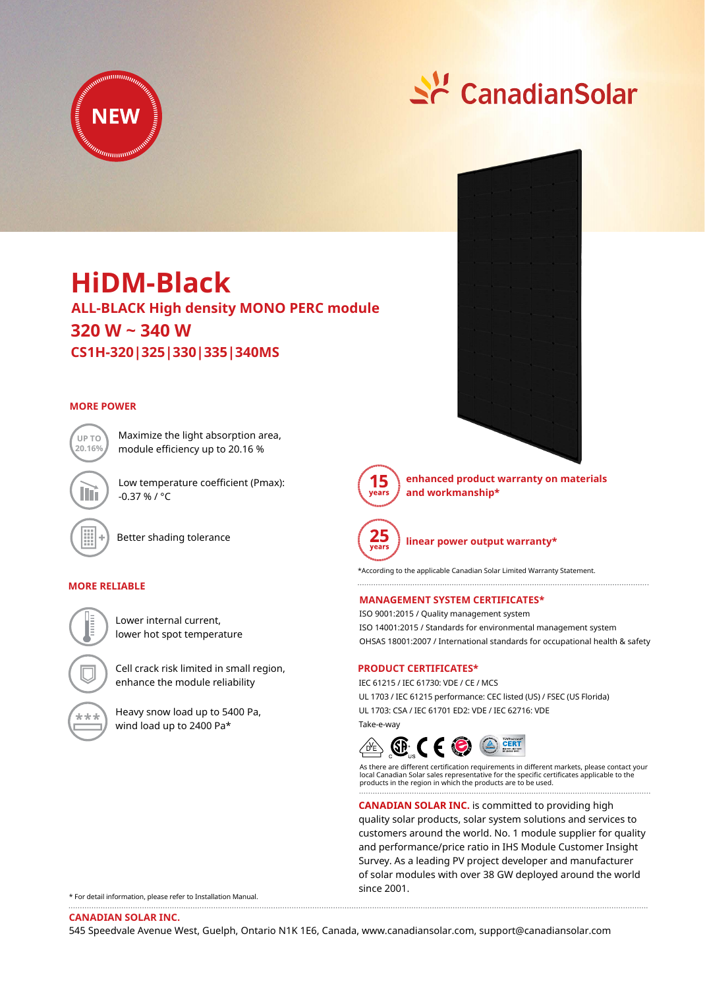

# Sc CanadianSolar

## **HiDM-Black**

**ALL-BLACK High density MONO PERC module 320 W ~ 340 W CS1H-320|325|330|335|340MS**

### **MORE POWER**



Maximize the light absorption area, module efficiency up to 20.16 %

Low temperature coefficient (Pmax): -0.37 % / °C

Better shading tolerance

#### **MORE RELIABLE**

Lower internal current, lower hot spot temperature

Cell crack risk limited in small region, enhance the module reliability IEC 61215 / IEC 61730: VDE / CE / MCS



Heavy snow load up to 5400 Pa, wind load up to 2400 Pa\*





**enhanced product warranty on materials and workmanship\***



**linear power output warranty\***

\*According to the applicable Canadian Solar Limited Warranty Statement.

#### **MANAGEMENT SYSTEM CERTIFICATES\***

ISO 9001:2015 / Quality management system ISO 14001:2015 / Standards for environmental management system OHSAS 18001:2007 / International standards for occupational health & safety

#### **PRODUCT CERTIFICATES\***

UL 1703 / IEC 61215 performance: CEC listed (US) / FSEC (US Florida) UL 1703: CSA / IEC 61701 ED2: VDE / IEC 62716: VDE Take-e-way



As there are different certification requirements in different markets, please contact your local Canadian Solar sales representative for the specific certificates applicable to the products in the region in which the products are to be used.

**CANADIAN SOLAR INC.** is committed to providing high quality solar products, solar system solutions and services to customers around the world. No. 1 module supplier for quality and performance/price ratio in IHS Module Customer Insight Survey. As a leading PV project developer and manufacturer of solar modules with over 38 GW deployed around the world since 2001.

\* For detail information, please refer to Installation Manual.